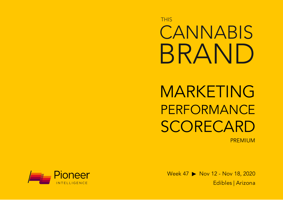**THIS CANNABIS** BRAND

MARKETING PERFORMANCE SCORECARD PREMIUM

Week 47 ▶ Nov 12 - Nov 18, 2020 Edibles | Arizona

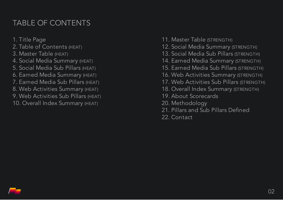# TABLE OF CONTENTS

1. Title Page 2. Table of Contents (HEAT)

- 3. Master Table (HEAT)
- 4. Social Media Summary (HEAT)
- 5. Social Media Sub Pillars (HEAT)
- 6. Earned Media Summary (HEAT)
- 7. Earned Media Sub Pillars (HEAT)
- 8. Web Activities Summary (HEAT)
- 9. Web Activities Sub Pillars (HEAT)
- 10. Overall Index Summary (HEAT)
- 11. Master Table (STRENGTH)
- 12. Social Media Summary (STRENGTH)
- 13. Social Media Sub Pillars (STRENGTH)
- 14. Earned Media Summary (STRENGTH)
- 15. Earned Media Sub Pillars (STRENGTH)
- 16. Web Activities Summary (STRENGTH)
- 17. Web Activities Sub Pillars (STRENGTH)
- 18. Overall Index Summary (STRENGTH)
- 19. About Scorecards
- 20. Methodology
- 21. Pillars and Sub Pillars Defined
- 22. Contact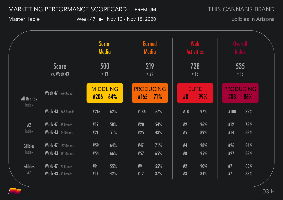THIS CANNABIS BRAND

Master Table Week 47 > Nov 12 - Nov 18, 2020

|                            |                                                            | Social<br><b>Media</b> |                        | <b>Earned</b><br>Media |                          | <b>Web</b><br><b>Activities</b> |          | <b>Overall</b><br><b>Index</b> |            |                         |
|----------------------------|------------------------------------------------------------|------------------------|------------------------|------------------------|--------------------------|---------------------------------|----------|--------------------------------|------------|-------------------------|
|                            | <b>Score</b><br>vs. Week 43                                |                        | 500<br>$+13$           |                        | 219<br>$+29$             |                                 |          | 728<br>$+18$                   |            | 535<br>$+18$            |
| <b>All Brands</b><br>Index | <b>Week 47</b> - 576 Brands                                | #206                   | <b>MIDDLING</b><br>64% |                        | <b>PRODUCING</b><br>#165 | 71%                             | #8       | <b>ELITE</b><br>99%            | #83        | <b>PRODUCING</b><br>86% |
|                            | Week 43 - 566 Brands                                       | #216                   | 62%                    |                        | #186                     | 67%                             | #18      | 97%                            | #100       | 82%                     |
| $\overline{AZ}$<br>Index   | Week 47 - 45 Brands<br>Week 43 - 44 Brands                 | #19<br>#21             | 58%<br>51%             |                        | #20<br>#25               | 54%<br>43%                      | #2<br>#5 | 96%<br>89%                     | #12<br>#14 | 73%<br>68%              |
| <b>Edibles</b><br>Index    | <b>Week 47</b> - 162 Brands<br><b>Week 43</b> - 161 Brands | #59<br>#54             | 64%<br>66%             |                        | #47<br>#57               | 71%<br>65%                      | #4<br>#8 | 98%<br>95%                     | #26<br>#27 | 84%<br>83%              |
| <b>Edibles</b><br>AZ       | Week 47 - 20 Brands<br>Week 43 - 19 Brands                 | #9<br>#11              | 55%<br>42%             |                        | #9<br>#12                | 55%<br>37%                      | #2<br>#3 | 90%<br>84%                     | #7<br>#7   | 65%<br>63%              |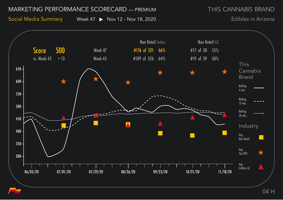THIS CANNABIS BRAND

Social Media Summary Week 47 > Nov 12 - Nov 18, 2020

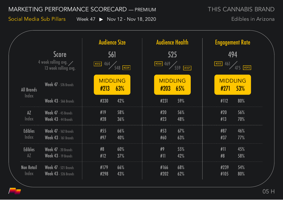THIS CANNABIS BRAND

Social Media Sub Pillars Week 47 > Nov 12 - Nov 18, 2020

|                                   |                                                                      | <b>Audience Size</b>                                                  | <b>Audience Health</b>         | <b>Engagement Rate</b>                             |
|-----------------------------------|----------------------------------------------------------------------|-----------------------------------------------------------------------|--------------------------------|----------------------------------------------------|
|                                   | <b>Score</b><br>4 week rolling avg. $\angle$<br>13 week rolling avg. | 561<br>$464$ 548 $\frac{1}{229}$<br>$\boxed{\textcolor{blue}{\#312}}$ | 525<br>469<br>$559$ $#157$     | 494<br>$461/475$ $+292$<br>$\boxed{\textbf{#315}}$ |
| <b>All Brands</b>                 | <b>Week 47</b> - 576 Brands                                          | <b>MIDDLING</b><br>63%<br>#213                                        | <b>MIDDLING</b><br>#203<br>65% | <b>MIDDLING</b><br><b>53%</b><br>#271              |
| Index                             | <b>Week 43 - 566 Brands</b>                                          | #330<br>42%                                                           | #231<br>59%                    | #112<br>80%                                        |
| AZ<br>Index                       | Week 47 - 45 Brands<br>Week 43 - 44 Brands                           | #19<br>58%<br>#28<br>36%                                              | 56%<br>#20<br>#23<br>48%       | 56%<br>#20<br>#13<br>70%                           |
| <b>Edibles</b><br>Index           | <b>Week 47</b> - 162 Brands<br><b>Week 43 - 161 Brands</b>           | #55<br>66%<br>#97<br>40%                                              | #53<br>67%<br>#60<br>63%       | 46%<br>#87<br>#37<br>77%                           |
| <b>Edibles</b><br>A Z             | Week 47 - 20 Brands<br>Week 43 - 19 Brands                           | #8<br>60%<br>#12<br>37%                                               | #9<br>55%<br>#11<br>42%        | 45%<br>#11<br>#8<br>58%                            |
| <b>Non Retail</b><br><b>Index</b> | <b>Week 47</b> - 521 Brands<br><b>Week 43 - 526 Brands</b>           | 66%<br>#179<br>#298<br>43%                                            | 68%<br>#166<br>#202<br>62%     | 54%<br>#239<br>80%<br>#105                         |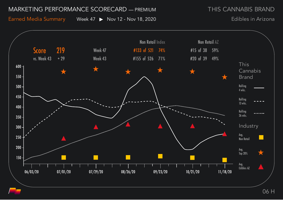THIS CANNABIS BRAND

Earned Media Summary Week 47 ▶ Nov 12 - Nov 18, 2020

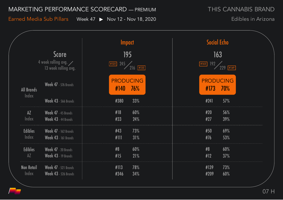Earned Media Sub Pillars Week 47 > Nov 12 - Nov 18, 2020

THIS CANNABIS BRAND

|                                                             |                                                            | <b>Impact</b>                                | <b>Social Echo</b>                                              |  |  |
|-------------------------------------------------------------|------------------------------------------------------------|----------------------------------------------|-----------------------------------------------------------------|--|--|
| <b>Score</b><br>4 week rolling avg.<br>13 week rolling avg. |                                                            | 195<br>$\frac{+125}{216}$ $\frac{245}{1133}$ | 163<br>$\frac{1163}{192}$ $\frac{192}{229}$ $\frac{1149}{1149}$ |  |  |
| <b>All Brands</b>                                           | <b>Week 47</b> - 576 Brands                                | <b>PRODUCING</b><br>#140<br>76%              | <b>PRODUCING</b><br>#173<br><b>70%</b>                          |  |  |
| Index                                                       | <b>Week 43 - 566 Brands</b>                                | 33%<br>#380                                  | #241<br>57%                                                     |  |  |
| AZ<br>Index                                                 | Week 47 - 45 Brands<br>Week 43 - 44 Brands                 | 60%<br>#18<br>#33<br>24%                     | 56%<br>#20<br>#27<br>39%                                        |  |  |
| <b>Edibles</b><br>Index                                     | <b>Week 47</b> - 162 Brands<br><b>Week 43</b> - 161 Brands | #43<br>73%<br>31%<br>#111                    | 69%<br>#50<br>#76<br>53%                                        |  |  |
| <b>Edibles</b><br>A Z                                       | Week 47 - 20 Brands<br>Week 43 - 19 Brands                 | 60%<br>#8<br>#15<br>21%                      | #8<br>60%<br>#12<br>37%                                         |  |  |
| <b>Non Retail</b><br>Index                                  | <b>Week 47</b> - 521 Brands<br>Week 43 - 526 Brands        | #113<br>78%<br>34%<br>#346                   | 73%<br>#139<br>60%<br>#209                                      |  |  |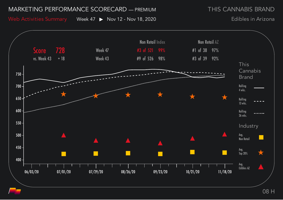THIS CANNABIS BRAND

Web Activities Summary Week 47 > Nov 12 - Nov 18, 2020

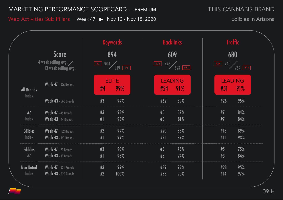THIS CANNABIS BRAND

Web Activities Sub Pillars Week 47 > Nov 12 - Nov 18, 2020

|                                   | <b>Score</b><br>4 week rolling avg.<br>13 week rolling avg. |          | <b>Keywords</b><br>894<br>$\frac{1}{2}$ 904 919 $\frac{1}{2}$ | 609                   | <b>Backlinks</b><br>$\begin{array}{ c c c }\n\hline \text{\#}72 & 596 & 624 & \text{\#}33\n\end{array}$ | $\left\lfloor \frac{\#24}{\#2}\right\rfloor$ | <b>Traffic</b><br>680<br>$\frac{740}{764}$ |  |
|-----------------------------------|-------------------------------------------------------------|----------|---------------------------------------------------------------|-----------------------|---------------------------------------------------------------------------------------------------------|----------------------------------------------|--------------------------------------------|--|
| <b>All Brands</b>                 | <b>Week 47</b> - 576 Brands                                 | #4       | <b>ELITE</b><br>99%                                           | <b>LEADING</b><br>#54 | 91%                                                                                                     | #51                                          | <b>LEADING</b><br>91%                      |  |
| Index                             | <b>Week 43 - 566 Brands</b>                                 | #3       | 99%                                                           | #62                   | 89%                                                                                                     | #26                                          | 95%                                        |  |
| AZ<br>Index                       | Week 47 - 45 Brands<br>Week 43 - 44 Brands                  | #3<br>#1 | 93%<br>98%                                                    | #6<br>#8              | 87%<br>81%                                                                                              | #7<br>#7                                     | 84%<br>84%                                 |  |
| <b>Edibles</b><br>Index           | <b>Week 47</b> - 162 Brands<br><b>Week 43</b> - 161 Brands  | #2<br>#1 | 99%<br>99%                                                    | #20<br>#21            | 88%<br>87%                                                                                              | #18<br>#11                                   | 89%<br>93%                                 |  |
| <b>Edibles</b><br>$A\overline{Z}$ | Week 47 - 20 Brands<br>Week 43 - 19 Brands                  | #2<br>#1 | 90%<br>95%                                                    | #5<br>#5              | 75%<br>74%                                                                                              | #5<br>#3                                     | 75%<br>84%                                 |  |
| <b>Non Retail</b><br>Index        | <b>Week 47</b> - 521 Brands<br><b>Week 43</b> - 526 Brands  | #3<br>#2 | 99%<br>100%                                                   | #39<br>#53            | 92%<br>90%                                                                                              | #28<br>#14                                   | 95%<br>97%                                 |  |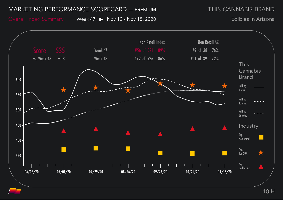THIS CANNABIS BRAND

Overall Index Summary Week 47 ▶ Nov 12 - Nov 18, 2020

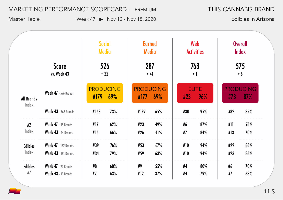THIS CANNABIS BRAND

Master Table Week 47 > Nov 12 - Nov 18, 2020

|                         |                                                            | <b>Social</b><br><b>Media</b> |                         | <b>Earned</b><br><b>Media</b> |            | Web<br><b>Activities</b> |                     | <b>Overall</b><br>Index |                         |
|-------------------------|------------------------------------------------------------|-------------------------------|-------------------------|-------------------------------|------------|--------------------------|---------------------|-------------------------|-------------------------|
|                         | <b>Score</b><br>vs. Week 43                                |                               | 526<br>$-22$            | 287<br>$+74$                  |            |                          | 768<br>$+1$         |                         | 575<br>$+6$             |
| <b>All Brands</b>       | <b>Week 47</b> - 576 Brands                                | #179                          | <b>PRODUCING</b><br>69% | <b>PRODUCING</b><br>#177      | 69%        | #23                      | <b>ELITE</b><br>96% | #73                     | <b>PRODUCING</b><br>87% |
| Index                   | <b>Week 43 - 566 Brands</b>                                | #153                          | 73%                     | #197                          | 65%        | #30                      | 95%                 | #82                     | 85%                     |
| AZ<br>Index             | Week 47 - 45 Brands<br>Week 43 - 44 Brands                 | #17<br>#15                    | 62%<br>66%              | #23<br>#26                    | 49%<br>41% | #6<br>#7                 | 87%<br>84%          | #11<br>#13              | 76%<br>70%              |
| <b>Edibles</b><br>Index | <b>Week 47</b> - 162 Brands<br><b>Week 43 - 161 Brands</b> | #39<br>#34                    | 76%<br>79%              | #53<br>#59                    | 67%<br>63% | #10<br>#10               | 94%<br>94%          | #22<br>#23              | 86%<br>86%              |
| <b>Edibles</b><br>AZ    | Week 47 - 20 Brands<br>Week 43 - 19 Brands                 | #8<br>#7                      | 60%<br>63%              | #9<br>#12                     | 55%<br>37% | #4<br>#4                 | 80%<br>79%          | #6<br>#7                | 70%<br>63%              |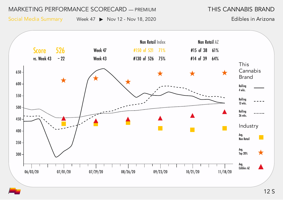THIS CANNABIS BRAND

Social Media Summary Week 47 > Nov 12 - Nov 18, 2020

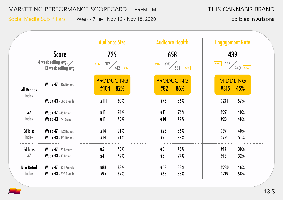Social Media Sub Pillars Week 47 > Nov 12 - Nov 18, 2020

THIS CANNABIS BRAND

| <b>Score</b><br>4 week rolling avg. $\diagup$<br>13 week rolling avg. |                                                            | <b>Audience Size</b><br>725<br>$702 / 742$ $+83$<br> #122 | <b>Audience Health</b><br>658<br>620<br>$\vert$ #113 $\vert$<br>691<br>$#42$ | <b>Engagement Rate</b><br>439<br>447<br>  #314  <br>$440$ #327 |  |
|-----------------------------------------------------------------------|------------------------------------------------------------|-----------------------------------------------------------|------------------------------------------------------------------------------|----------------------------------------------------------------|--|
| <b>All Brands</b>                                                     | <b>Week 47</b> - 576 Brands                                | <b>PRODUCING</b><br>82%<br>#104                           | <b>PRODUCING</b><br>#82<br>86%                                               | <b>MIDDLING</b><br>45%<br>#315                                 |  |
| Index                                                                 | <b>Week 43 - 566 Brands</b>                                | #111<br>80%                                               | #78<br>86%                                                                   | 57%<br>#241                                                    |  |
| AZ<br>Index                                                           | Week 47 - 45 Brands<br>Week 43 - 44 Brands                 | #11<br>74%<br>#11<br>75%                                  | #11<br>76%<br>#10<br>77%                                                     | 40%<br>#27<br>48%<br>#23                                       |  |
| <b>Edibles</b><br>Index                                               | <b>Week 47</b> - 162 Brands<br><b>Week 43 - 161 Brands</b> | #14<br>91%<br>#14<br>91%                                  | #23<br>86%<br>#20<br>88%                                                     | 40%<br>#97<br>51%<br>#79                                       |  |
| <b>Edibles</b><br>AZ                                                  | Week 47 - 20 Brands<br>Week 43 - 19 Brands                 | #5<br>75%<br>#4<br>79%                                    | #5<br>75%<br>#5<br>74%                                                       | 30%<br>#14<br>#13<br>32%                                       |  |
| <b>Non Retail</b><br>Index                                            | <b>Week 47</b> - 521 Brands<br><b>Week 43 - 526 Brands</b> | #88<br>83%<br>82%<br>#95                                  | #63<br>88%<br>#63<br>88%                                                     | 46%<br>#280<br>#219<br>58%                                     |  |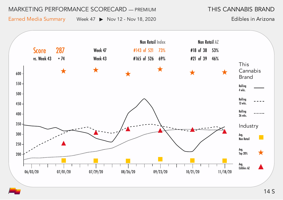THIS CANNABIS BRAND

Earned Media Summary Week 47 ▶ Nov 12 - Nov 18, 2020

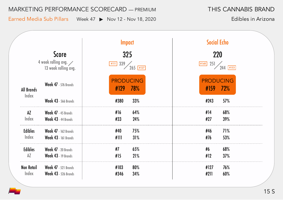Earned Media Sub Pillars Week 47 ▶ Nov 12 - Nov 18, 2020

THIS CANNABIS BRAND

|                                                                       |                                                            | <b>Impact</b>                                                                       | <b>Social Echo</b>                                   |  |  |
|-----------------------------------------------------------------------|------------------------------------------------------------|-------------------------------------------------------------------------------------|------------------------------------------------------|--|--|
| <b>Score</b><br>4 week rolling avg. $\diagup$<br>13 week rolling avg. |                                                            | 325<br>$1339$ 265 $\frac{1}{2}$<br>$\left  \frac{\text{#III}}{\text{#III}} \right $ | 220<br>$\frac{251}{244}$<br>$\boxed{\texttt{\#148}}$ |  |  |
| <b>All Brands</b><br>Index                                            | <b>Week 47</b> - 576 Brands                                | <b>PRODUCING</b><br>#129<br>78%                                                     | <b>PRODUCING</b><br>#159<br><b>72%</b>               |  |  |
|                                                                       | <b>Week 43 - 566 Brands</b>                                | #380<br>33%                                                                         | #243<br>57%                                          |  |  |
| AZ<br>Index                                                           | Week 47 - 45 Brands<br>Week 43 - 44 Brands                 | #16<br>64%<br>#33<br>24%                                                            | #14<br>68%<br>#27<br>39%                             |  |  |
| <b>Edibles</b><br>Index                                               | <b>Week 47</b> - 162 Brands<br><b>Week 43 - 161 Brands</b> | 75%<br>#40<br>#111<br>31%                                                           | 71%<br>#46<br>#76<br>53%                             |  |  |
| <b>Edibles</b><br>AZ                                                  | Week 47 - 20 Brands<br>Week 43 - 19 Brands                 | #7<br>65%<br>#15<br>21%                                                             | #6<br>68%<br>#12<br>37%                              |  |  |
| <b>Non Retail</b><br>Index                                            | <b>Week 47</b> - 521 Brands<br><b>Week 43</b> - 526 Brands | #103<br>80%<br>34%<br>#346                                                          | 76%<br>#127<br>60%<br>#211                           |  |  |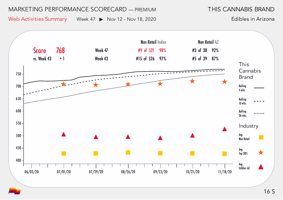THIS CANNABIS BRAND

Web Activities Summary Week 47 ▶ Nov 12 - Nov 18, 2020

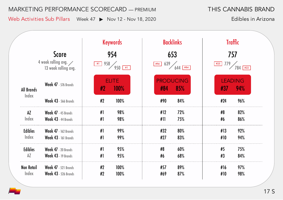THIS CANNABIS BRAND

Web Activities Sub Pillars Week 47 ▶ Nov 12 - Nov 18, 2020

|                                                                      | <b>Keywords</b>             |                                |                      | <b>Backlinks</b>               |                         | <b>Traffic</b>                   |                       |  |
|----------------------------------------------------------------------|-----------------------------|--------------------------------|----------------------|--------------------------------|-------------------------|----------------------------------|-----------------------|--|
| <b>Score</b><br>4 week rolling avg. $\angle$<br>13 week rolling avg. |                             | 954<br>958<br>#1<br>$950$ $+1$ |                      | 653<br>639<br>#94<br>$644$ #84 |                         | 757<br>779<br>#25<br>$784$ $784$ |                       |  |
| <b>All Brands</b>                                                    | <b>Week 47</b> - 576 Brands | #2                             | <b>ELITE</b><br>100% | #84                            | <b>PRODUCING</b><br>85% | #37                              | <b>LEADING</b><br>94% |  |
| Index                                                                | <b>Week 43 - 566 Brands</b> | #2                             | 100%                 | #90                            | 84%                     | #24                              | 96%                   |  |
| $A\overline{Z}$                                                      | Week 47 - 45 Brands         | #1                             | 98%                  | #12                            | 72%                     | #8                               | 82%                   |  |
| Index                                                                | Week 43 - 44 Brands         | #1                             | 98%                  | #11                            | 75%                     | #6                               | 86%                   |  |
| <b>Edibles</b>                                                       | <b>Week 47</b> - 162 Brands | #1                             | 99%                  | #32                            | 80%                     | #13                              | 92%                   |  |
| Index                                                                | <b>Week 43</b> - 161 Brands | #1                             | 99%                  | #27                            | 83%                     | #10                              | 94%                   |  |
| <b>Edibles</b>                                                       | Week 47 - 20 Brands         | #1                             | 95%                  | #8                             | 60%                     | #5                               | 75%                   |  |
| AZ                                                                   | Week 43 - 19 Brands         | #1                             | 95%                  | #6                             | 68%                     | #3                               | 84%                   |  |
| <b>Non Retail</b>                                                    | <b>Week 47</b> - 521 Brands | #2                             | 100%                 | #57                            | 89%                     | #16                              | 97%                   |  |
| Index                                                                | <b>Week 43</b> - 526 Brands | #2                             | 100%                 | #69                            | 87%                     | #10                              | 98%                   |  |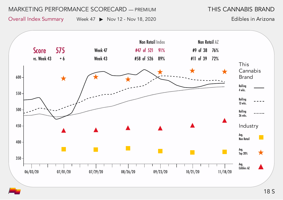THIS CANNABIS BRAND

Overall Index Summary Week 47 ▶ Nov 12 - Nov 18, 2020

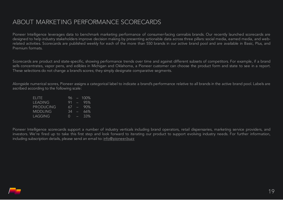# ABOUT MARKETING PERFORMANCE SCORECARDS

Pioneer Intelligence leverages data to benchmark marketing performance of consumer-facing cannabis brands. Our recently launched scorecards are designed to help industry stakeholders improve decision making by presenting actionable data across three pillars: social media, earned media, and webrelated activities. Scorecards are published weekly for each of the more than 550 brands in our active brand pool and are available in Basic, Plus, and Premium formats.

Scorecards are product and state-specific, showing performance trends over time and against different subsets of competitors. For example, if a brand sells concentrates, vapor pens, and edibles in Michigan and Oklahoma, a Pioneer customer can choose the product form and state to see in a report. These selections do not change a brand's scores; they simply designate comparative segments.

Alongside numerical scores, Pioneer assigns a categorical label to indicate a brand's performance relative to all brands in the active brand pool. Labels are ascribed according to the following scale:

| FLITE.           | 96.              |                 | $-100\%$ |
|------------------|------------------|-----------------|----------|
| <b>LEADING</b>   | 91               |                 | $-95%$   |
| <b>PRODUCING</b> | 67               | <b>Contract</b> | -90%     |
| <b>MIDDLING</b>  | 34               | Æ               | 66%      |
| LAGGING          | $\left( \right)$ | e               | 33%      |

Pioneer Intelligence scorecards support a number of industry verticals including brand operators, retail dispensaries, marketing service providers, and investors. We're fired up to take this first step and look forward to iterating our product to support evolving industry needs. For further information, including subscription details, please send an email to: [info@pioneer.buzz](mailto:info@pioneer.buzz)

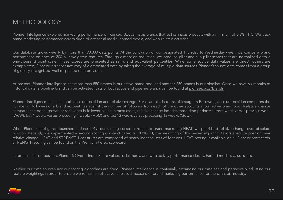Pioneer Intelligence explores marketing performance of licensed U.S. cannabis brands that sell cannabis products with a minimum of 0.3% THC. We track brand marketing performance across three pillars: social media, earned media, and web-related activities.

Our database grows weekly by more than 90,000 data points. At the conclusion of our designated Thursday to Wednesday week, we compare brand performance on each of 200 plus weighted features. Through dimension reduction, we produce pillar and sub pillar scores that are normalized onto a one-thousand point scale. These scores are presented as ranks and equivalent percentiles. While some source data values are direct, others are extrapolated; Pioneer increases accuracy of extrapolated data by taking the average of multiple data sources. Pioneer's source data comes from a group of globally-recognized, well-respected data providers.

At present, Pioneer Intelligence has more than 550 brands in our active brand pool and another 250 brands in our pipeline. Once we have six months of historical data, a pipeline brand can be activated. Lists of both active and pipeline brands can be found at pioneer.buzz/brands.

Pioneer Intelligence examines both absolute position and relative change. For example, in terms of Instagram Followers, absolute position compares the number of followers one brand account has against the number of followers from each of the other accounts in our active brand pool. Relative change compares the delta (growth or shrinkage) in follower count. In most cases, relative change includes three time periods: current week versus previous week (WoW), last 4 weeks versus preceding 4 weeks (MoM) and last 13 weeks versus preceding 13 weeks (QoQ).

When Pioneer Intelligence launched in June 2019, our scoring construct reflected brand marketing HEAT; we prioritized relative change over absolute position. Recently, we implemented a second scoring construct called STRENGTH; the weighting of this newer algorithm favors absolute position over relative change. HEAT and STRENGTH constructs are composed of nearly identical sets of features. HEAT scoring is available on all Pioneer scorecards. STRENGTH scoring can be found on the Premium-tiered scorecard.

In terms of its composition, Pioneer's Overall Index Score values social media and web activity performance closely. Earned media's value is less.

Neither our data sources nor our scoring algorithms are fixed. Pioneer Intelligence is continually expanding our data set and periodically adjusting our feature weightings in order to ensure we remain an effective, unbiased measure of brand marketing performance for the cannabis industry.

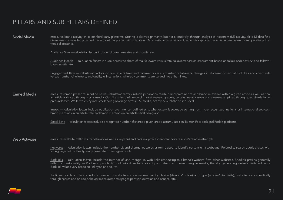# PILLARS AND SUB PILLARS DEFINED

Social Media measures brand activity on select third party platforms. Scoring is derived primarily, but not exclusively, through analysis of Instagram (IG) activity. Valid IG data for a given week is included provided the account has posted within 60 days. Data limitations on Private IG accounts cap potential social scores below those operating other types of accounts.

Audience Size — calculation factors include follower base size and growth rate.

Audience Health — calculation factors include perceived share of real followers versus total followers; passion assessment based on follow-back activity; and follower base growth rate.

Engagement Rate — calculation factors include ratio of likes and comments versus number of followers; changes in aforementioned ratio of likes and comments versus number of followers; and quality of interactions, whereby comments are valued more than likes.

**Earned Media** measures brand presence in online news. Calculation factors include publication reach, brand prominence and brand relevance within a given article as well as how an article is shared through social media. Our filters limit influence of market research papers, certain financial news and awareness gained through paid circulation of press releases. While we enjoy industry-leading coverage across U.S. media, not every publisher is included.

> Impact — calculation factors include publication prominence (defined as to what extent is coverage coming from more recognized, national or international sources); brand mentions in an article title and brand mentions in an article's first paragraph.

Social Echo— calculation factors include a weighted number of shares a given article accumulates on Twitter, Facebook and Reddit platforms.

Web Activities measures website traffic, visitor behavior as well as keyword and backlink profiles that can indicate a site's relative-strength.

Keywords — calculation factors include the number of, and change in, words or terms used to identify content on a webpage. Related to search queries, sites with strong keyword profiles typically generate more organic visits.

Backlinks — calculation factors include the number of, and change in, web links connecting to a brand's website from other websites. Backlink profiles generally reflect content quality and/or brand popularity. Backlinks drive traffic directly and also inform search engine results, thereby generating website visits indirectly. Backlink values vary based on link type and source.

Traffic — calculation factors include number of website visits -- segmented by device (desktop/mobile) and type (unique/total visits); website visits specifically through search and on-site behavior measurements (pages per visit, duration and bounce rate).